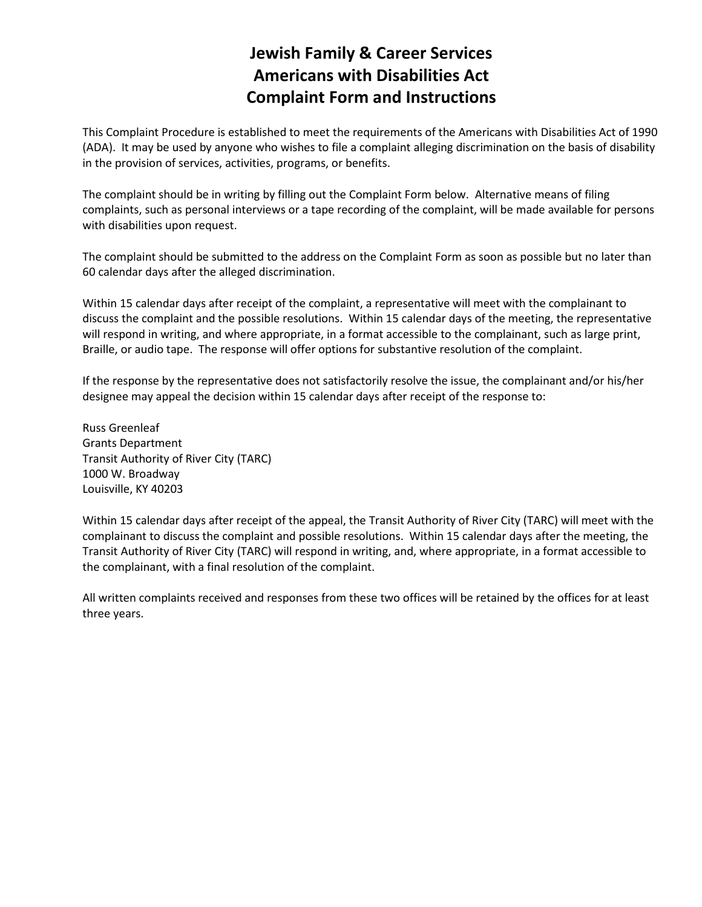## **Jewish Family & Career Services Americans with Disabilities Act Complaint Form and Instructions**

This Complaint Procedure is established to meet the requirements of the Americans with Disabilities Act of 1990 (ADA). It may be used by anyone who wishes to file a complaint alleging discrimination on the basis of disability in the provision of services, activities, programs, or benefits.

The complaint should be in writing by filling out the Complaint Form below. Alternative means of filing complaints, such as personal interviews or a tape recording of the complaint, will be made available for persons with disabilities upon request.

The complaint should be submitted to the address on the Complaint Form as soon as possible but no later than 60 calendar days after the alleged discrimination.

Within 15 calendar days after receipt of the complaint, a representative will meet with the complainant to discuss the complaint and the possible resolutions. Within 15 calendar days of the meeting, the representative will respond in writing, and where appropriate, in a format accessible to the complainant, such as large print, Braille, or audio tape. The response will offer options for substantive resolution of the complaint.

If the response by the representative does not satisfactorily resolve the issue, the complainant and/or his/her designee may appeal the decision within 15 calendar days after receipt of the response to:

Russ Greenleaf Grants Department Transit Authority of River City (TARC) 1000 W. Broadway Louisville, KY 40203

Within 15 calendar days after receipt of the appeal, the Transit Authority of River City (TARC) will meet with the complainant to discuss the complaint and possible resolutions. Within 15 calendar days after the meeting, the Transit Authority of River City (TARC) will respond in writing, and, where appropriate, in a format accessible to the complainant, with a final resolution of the complaint.

All written complaints received and responses from these two offices will be retained by the offices for at least three years.